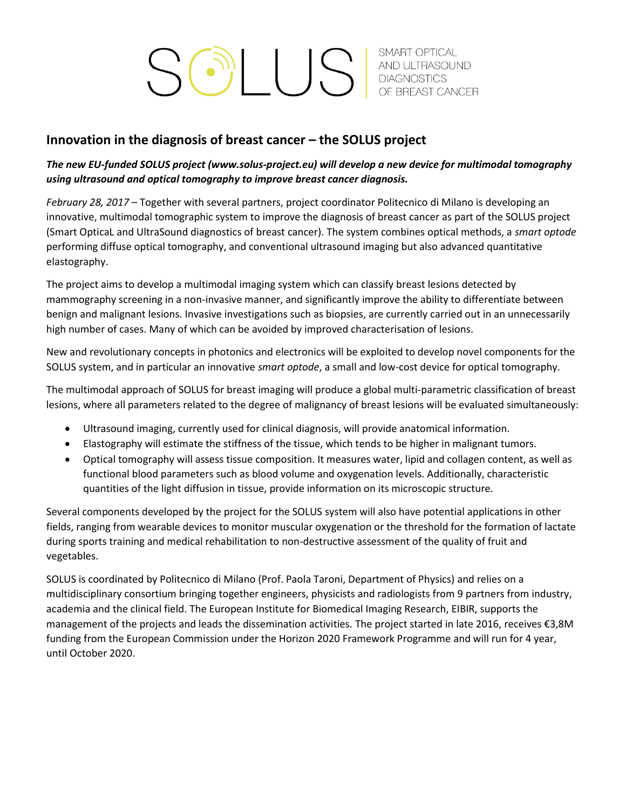SCILLUS AND ULTRASOUND OF BREAST CANCER

## **Innovation in the diagnosis of breast cancer – the SOLUS project**

## *The new EU-funded SOLUS project [\(www.solus-project.eu\)](http://www.solus-project.eu/) will develop a new device for multimodal tomography using ultrasound and optical tomography to improve breast cancer diagnosis.*

*February 28, 2017* – Together with several partners, project coordinator Politecnico di Milano is developing an innovative, multimodal tomographic system to improve the diagnosis of breast cancer as part of the SOLUS project (Smart OpticaL and UltraSound diagnostics of breast cancer). The system combines optical methods, a *smart optode* performing diffuse optical tomography, and conventional ultrasound imaging but also advanced quantitative elastography.

The project aims to develop a multimodal imaging system which can classify breast lesions detected by mammography screening in a non-invasive manner, and significantly improve the ability to differentiate between benign and malignant lesions. Invasive investigations such as biopsies, are currently carried out in an unnecessarily high number of cases. Many of which can be avoided by improved characterisation of lesions.

New and revolutionary concepts in photonics and electronics will be exploited to develop novel components for the SOLUS system, and in particular an innovative *smart optode*, a small and low-cost device for optical tomography.

The multimodal approach of SOLUS for breast imaging will produce a global multi-parametric classification of breast lesions, where all parameters related to the degree of malignancy of breast lesions will be evaluated simultaneously:

- Ultrasound imaging, currently used for clinical diagnosis, will provide anatomical information.
- Elastography will estimate the stiffness of the tissue, which tends to be higher in malignant tumors.
- Optical tomography will assess tissue composition. It measures water, lipid and collagen content, as well as functional blood parameters such as blood volume and oxygenation levels. Additionally, characteristic quantities of the light diffusion in tissue, provide information on its microscopic structure.

Several components developed by the project for the SOLUS system will also have potential applications in other fields, ranging from wearable devices to monitor muscular oxygenation or the threshold for the formation of lactate during sports training and medical rehabilitation to non-destructive assessment of the quality of fruit and vegetables.

SOLUS is coordinated by Politecnico di Milano (Prof. Paola Taroni, Department of Physics) and relies on a multidisciplinary consortium bringing together engineers, physicists and radiologists from 9 partners from industry, academia and the clinical field. The European Institute for Biomedical Imaging Research, EIBIR, supports the management of the projects and leads the dissemination activities. The project started in late 2016, receives €3,8M funding from the European Commission under the Horizon 2020 Framework Programme and will run for 4 year, until October 2020.